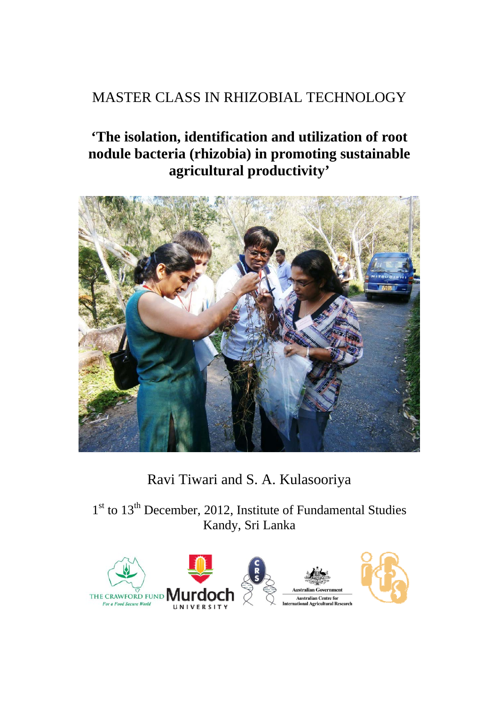# MASTER CLASS IN RHIZOBIAL TECHNOLOGY

# **'The isolation, identification and utilization of root nodule bacteria (rhizobia) in promoting sustainable agricultural productivity'**



# Ravi Tiwari and S. A. Kulasooriya

 $1<sup>st</sup>$  to  $13<sup>th</sup>$  December, 2012, Institute of Fundamental Studies Kandy, Sri Lanka

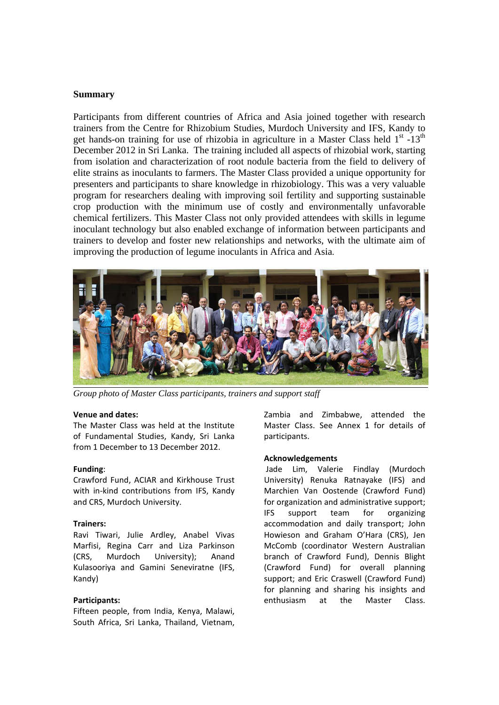#### **Summary**

Participants from different countries of Africa and Asia joined together with research trainers from the Centre for Rhizobium Studies, Murdoch University and IFS, Kandy to get hands-on training for use of rhizobia in agriculture in a Master Class held  $1<sup>st</sup> -13<sup>th</sup>$ December 2012 in Sri Lanka. The training included all aspects of rhizobial work, starting from isolation and characterization of root nodule bacteria from the field to delivery of elite strains as inoculants to farmers. The Master Class provided a unique opportunity for presenters and participants to share knowledge in rhizobiology. This was a very valuable program for researchers dealing with improving soil fertility and supporting sustainable crop production with the minimum use of costly and environmentally unfavorable chemical fertilizers. This Master Class not only provided attendees with skills in legume inoculant technology but also enabled exchange of information between participants and trainers to develop and foster new relationships and networks, with the ultimate aim of improving the production of legume inoculants in Africa and Asia.



*Group photo of Master Class participants, trainers and support staff* 

#### **Venue and dates:**

The Master Class was held at the Institute of Fundamental Studies, Kandy, Sri Lanka from 1 December to 13 December 2012.

#### **Funding**:

Crawford Fund, ACIAR and Kirkhouse Trust with in-kind contributions from IFS. Kandy and CRS, Murdoch University.

#### **Trainers:**

Ravi Tiwari, Julie Ardley, Anabel Vivas Marfisi, Regina Carr and Liza Parkinson (CRS, Murdoch University); Anand Kulasooriya and Gamini Seneviratne (IFS, Kandy)

#### **Participants:**

Fifteen people, from India, Kenya, Malawi, South Africa, Sri Lanka, Thailand, Vietnam,

Zambia and Zimbabwe, attended the Master Class. See Annex 1 for details of participants.

#### **Acknowledgements**

Jade Lim, Valerie Findlay (Murdoch University) Renuka Ratnayake (IFS) and Marchien Van Oostende (Crawford Fund) for organization and administrative support; IFS support team for organizing accommodation and daily transport; John Howieson and Graham O'Hara (CRS), Jen McComb (coordinator Western Australian branch of Crawford Fund), Dennis Blight (Crawford Fund) for overall planning support; and Eric Craswell (Crawford Fund) for planning and sharing his insights and enthusiasm at the Master Class.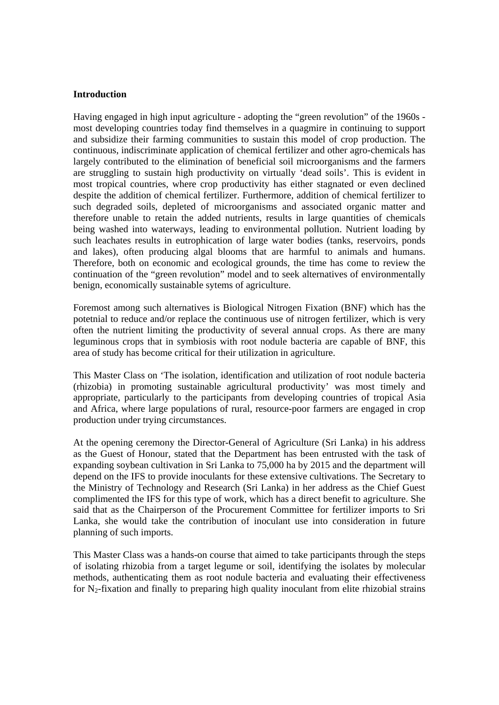#### **Introduction**

Having engaged in high input agriculture - adopting the "green revolution" of the 1960s most developing countries today find themselves in a quagmire in continuing to support and subsidize their farming communities to sustain this model of crop production. The continuous, indiscriminate application of chemical fertilizer and other agro-chemicals has largely contributed to the elimination of beneficial soil microorganisms and the farmers are struggling to sustain high productivity on virtually 'dead soils'. This is evident in most tropical countries, where crop productivity has either stagnated or even declined despite the addition of chemical fertilizer. Furthermore, addition of chemical fertilizer to such degraded soils, depleted of microorganisms and associated organic matter and therefore unable to retain the added nutrients, results in large quantities of chemicals being washed into waterways, leading to environmental pollution. Nutrient loading by such leachates results in eutrophication of large water bodies (tanks, reservoirs, ponds and lakes), often producing algal blooms that are harmful to animals and humans. Therefore, both on economic and ecological grounds, the time has come to review the continuation of the "green revolution" model and to seek alternatives of environmentally benign, economically sustainable sytems of agriculture.

Foremost among such alternatives is Biological Nitrogen Fixation (BNF) which has the potetnial to reduce and/or replace the continuous use of nitrogen fertilizer, which is very often the nutrient limiting the productivity of several annual crops. As there are many leguminous crops that in symbiosis with root nodule bacteria are capable of BNF, this area of study has become critical for their utilization in agriculture.

This Master Class on 'The isolation, identification and utilization of root nodule bacteria (rhizobia) in promoting sustainable agricultural productivity' was most timely and appropriate, particularly to the participants from developing countries of tropical Asia and Africa, where large populations of rural, resource-poor farmers are engaged in crop production under trying circumstances.

At the opening ceremony the Director-General of Agriculture (Sri Lanka) in his address as the Guest of Honour, stated that the Department has been entrusted with the task of expanding soybean cultivation in Sri Lanka to 75,000 ha by 2015 and the department will depend on the IFS to provide inoculants for these extensive cultivations. The Secretary to the Ministry of Technology and Research (Sri Lanka) in her address as the Chief Guest complimented the IFS for this type of work, which has a direct benefit to agriculture. She said that as the Chairperson of the Procurement Committee for fertilizer imports to Sri Lanka, she would take the contribution of inoculant use into consideration in future planning of such imports.

This Master Class was a hands-on course that aimed to take participants through the steps of isolating rhizobia from a target legume or soil, identifying the isolates by molecular methods, authenticating them as root nodule bacteria and evaluating their effectiveness for  $N_2$ -fixation and finally to preparing high quality inoculant from elite rhizobial strains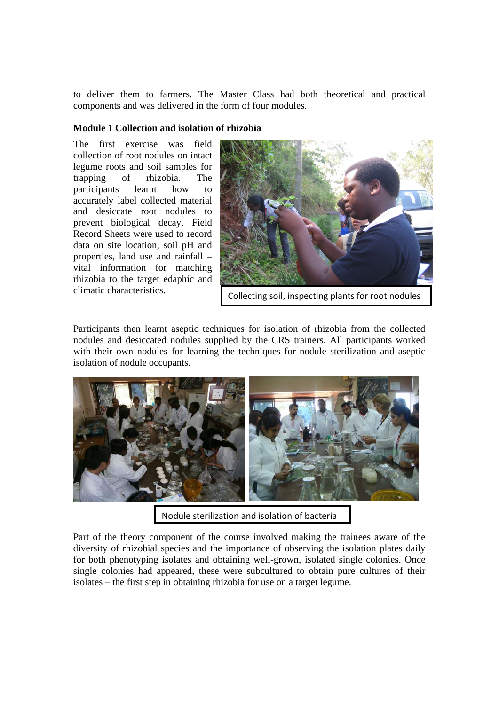to deliver them to farmers. The Master Class had both theoretical and practical components and was delivered in the form of four modules.

#### **Module 1 Collection and isolation of rhizobia**

The first exercise was field collection of root nodules on intact legume roots and soil samples for trapping of rhizobia. The participants learnt how to accurately label collected material and desiccate root nodules to prevent biological decay. Field Record Sheets were used to record data on site location, soil pH and properties, land use and rainfall – vital information for matching rhizobia to the target edaphic and climatic characteristics.



Collecting soil, inspecting plants for root nodules

Participants then learnt aseptic techniques for isolation of rhizobia from the collected nodules and desiccated nodules supplied by the CRS trainers. All participants worked with their own nodules for learning the techniques for nodule sterilization and aseptic isolation of nodule occupants.



Nodule sterilization and isolation of bacteria

Part of the theory component of the course involved making the trainees aware of the diversity of rhizobial species and the importance of observing the isolation plates daily for both phenotyping isolates and obtaining well-grown, isolated single colonies. Once single colonies had appeared, these were subcultured to obtain pure cultures of their isolates – the first step in obtaining rhizobia for use on a target legume.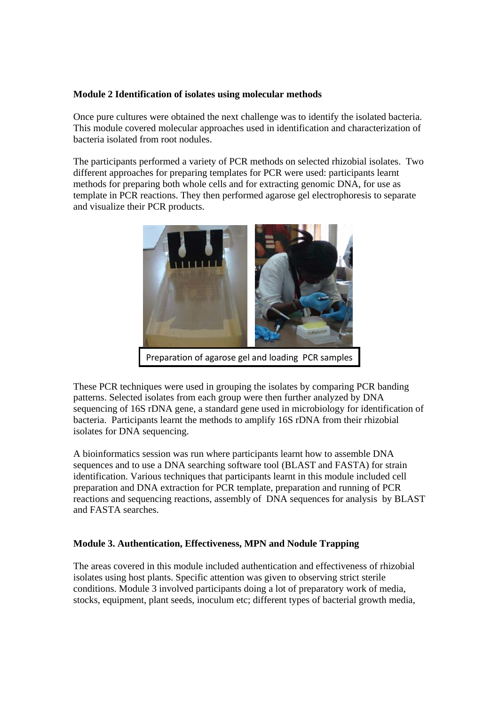#### **Module 2 Identification of isolates using molecular methods**

Once pure cultures were obtained the next challenge was to identify the isolated bacteria. This module covered molecular approaches used in identification and characterization of bacteria isolated from root nodules.

The participants performed a variety of PCR methods on selected rhizobial isolates. Two different approaches for preparing templates for PCR were used: participants learnt methods for preparing both whole cells and for extracting genomic DNA, for use as template in PCR reactions. They then performed agarose gel electrophoresis to separate and visualize their PCR products.



Preparation of agarose gel and loading PCR samples

These PCR techniques were used in grouping the isolates by comparing PCR banding patterns. Selected isolates from each group were then further analyzed by DNA sequencing of 16S rDNA gene, a standard gene used in microbiology for identification of bacteria. Participants learnt the methods to amplify 16S rDNA from their rhizobial isolates for DNA sequencing.

A bioinformatics session was run where participants learnt how to assemble DNA sequences and to use a DNA searching software tool (BLAST and FASTA) for strain identification. Various techniques that participants learnt in this module included cell preparation and DNA extraction for PCR template, preparation and running of PCR reactions and sequencing reactions, assembly of DNA sequences for analysis by BLAST and FASTA searches.

#### **Module 3. Authentication, Effectiveness, MPN and Nodule Trapping**

The areas covered in this module included authentication and effectiveness of rhizobial isolates using host plants. Specific attention was given to observing strict sterile conditions. Module 3 involved participants doing a lot of preparatory work of media, stocks, equipment, plant seeds, inoculum etc; different types of bacterial growth media,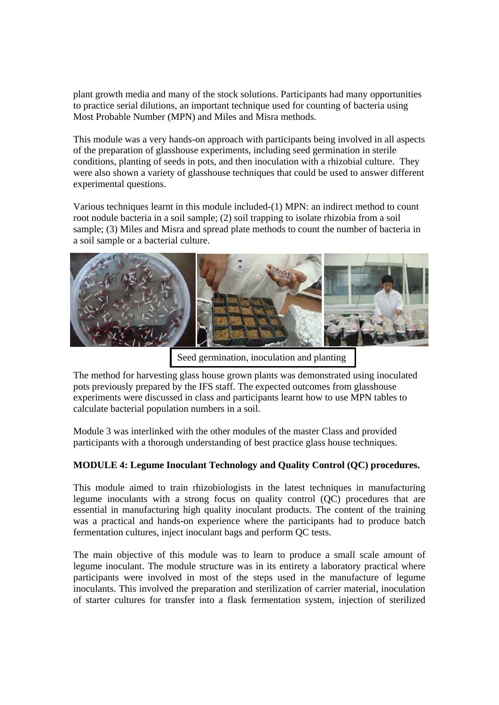plant growth media and many of the stock solutions. Participants had many opportunities to practice serial dilutions, an important technique used for counting of bacteria using Most Probable Number (MPN) and Miles and Misra methods.

This module was a very hands-on approach with participants being involved in all aspects of the preparation of glasshouse experiments, including seed germination in sterile conditions, planting of seeds in pots, and then inoculation with a rhizobial culture. They were also shown a variety of glasshouse techniques that could be used to answer different experimental questions.

Various techniques learnt in this module included-(1) MPN: an indirect method to count root nodule bacteria in a soil sample; (2) soil trapping to isolate rhizobia from a soil sample; (3) Miles and Misra and spread plate methods to count the number of bacteria in a soil sample or a bacterial culture.



Seed germination, inoculation and planting

The method for harvesting glass house grown plants was demonstrated using inoculated pots previously prepared by the IFS staff. The expected outcomes from glasshouse experiments were discussed in class and participants learnt how to use MPN tables to calculate bacterial population numbers in a soil.

Module 3 was interlinked with the other modules of the master Class and provided participants with a thorough understanding of best practice glass house techniques.

#### **MODULE 4: Legume Inoculant Technology and Quality Control (QC) procedures.**

This module aimed to train rhizobiologists in the latest techniques in manufacturing legume inoculants with a strong focus on quality control (QC) procedures that are essential in manufacturing high quality inoculant products. The content of the training was a practical and hands-on experience where the participants had to produce batch fermentation cultures, inject inoculant bags and perform QC tests.

The main objective of this module was to learn to produce a small scale amount of legume inoculant. The module structure was in its entirety a laboratory practical where participants were involved in most of the steps used in the manufacture of legume inoculants. This involved the preparation and sterilization of carrier material, inoculation of starter cultures for transfer into a flask fermentation system, injection of sterilized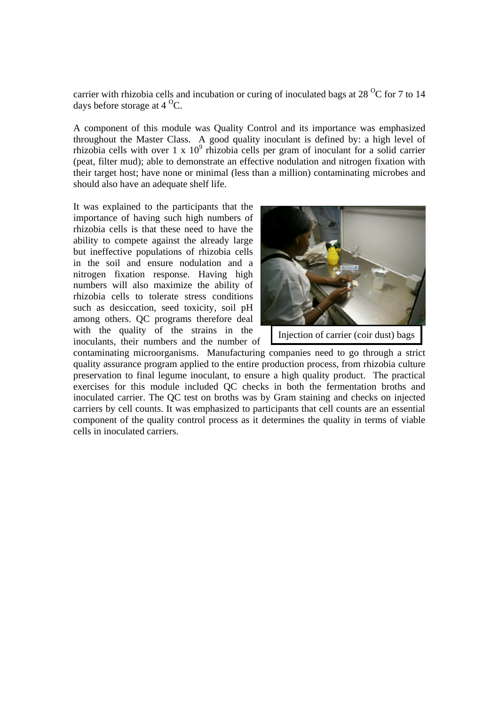carrier with rhizobia cells and incubation or curing of inoculated bags at 28  $\mathrm{^{0}C}$  for 7 to 14 days before storage at  $4^{\circ}$ C.

A component of this module was Quality Control and its importance was emphasized throughout the Master Class. A good quality inoculant is defined by: a high level of rhizobia cells with over 1 x  $10^9$  rhizobia cells per gram of inoculant for a solid carrier (peat, filter mud); able to demonstrate an effective nodulation and nitrogen fixation with their target host; have none or minimal (less than a million) contaminating microbes and should also have an adequate shelf life.

It was explained to the participants that the importance of having such high numbers of rhizobia cells is that these need to have the ability to compete against the already large but ineffective populations of rhizobia cells in the soil and ensure nodulation and a nitrogen fixation response. Having high numbers will also maximize the ability of rhizobia cells to tolerate stress conditions such as desiccation, seed toxicity, soil pH among others. QC programs therefore deal with the quality of the strains in the inoculants, their numbers and the number of



Injection of carrier (coir dust) bags

contaminating microorganisms. Manufacturing companies need to go through a strict quality assurance program applied to the entire production process, from rhizobia culture preservation to final legume inoculant, to ensure a high quality product. The practical exercises for this module included QC checks in both the fermentation broths and inoculated carrier. The QC test on broths was by Gram staining and checks on injected carriers by cell counts. It was emphasized to participants that cell counts are an essential component of the quality control process as it determines the quality in terms of viable cells in inoculated carriers.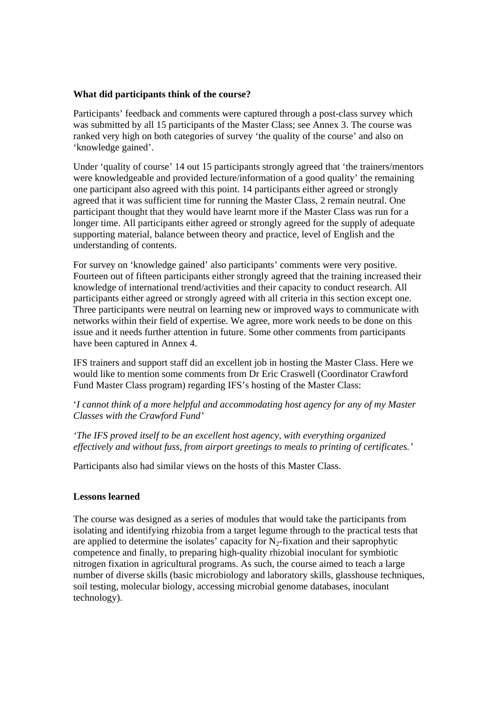#### **What did participants think of the course?**

Participants' feedback and comments were captured through a post-class survey which was submitted by all 15 participants of the Master Class; see Annex 3. The course was ranked very high on both categories of survey 'the quality of the course' and also on 'knowledge gained'.

Under 'quality of course' 14 out 15 participants strongly agreed that 'the trainers/mentors were knowledgeable and provided lecture/information of a good quality' the remaining one participant also agreed with this point. 14 participants either agreed or strongly agreed that it was sufficient time for running the Master Class, 2 remain neutral. One participant thought that they would have learnt more if the Master Class was run for a longer time. All participants either agreed or strongly agreed for the supply of adequate supporting material, balance between theory and practice, level of English and the understanding of contents.

For survey on 'knowledge gained' also participants' comments were very positive. Fourteen out of fifteen participants either strongly agreed that the training increased their knowledge of international trend/activities and their capacity to conduct research. All participants either agreed or strongly agreed with all criteria in this section except one. Three participants were neutral on learning new or improved ways to communicate with networks within their field of expertise. We agree, more work needs to be done on this issue and it needs further attention in future. Some other comments from participants have been captured in Annex 4.

IFS trainers and support staff did an excellent job in hosting the Master Class. Here we would like to mention some comments from Dr Eric Craswell (Coordinator Crawford Fund Master Class program) regarding IFS's hosting of the Master Class:

'*I cannot think of a more helpful and accommodating host agency for any of my Master Classes with the Crawford Fund'* 

*'The IFS proved itself to be an excellent host agency, with everything organized effectively and without fuss, from airport greetings to meals to printing of certificates.'* 

Participants also had similar views on the hosts of this Master Class.

#### **Lessons learned**

The course was designed as a series of modules that would take the participants from isolating and identifying rhizobia from a target legume through to the practical tests that are applied to determine the isolates' capacity for  $N_2$ -fixation and their saprophytic competence and finally, to preparing high-quality rhizobial inoculant for symbiotic nitrogen fixation in agricultural programs. As such, the course aimed to teach a large number of diverse skills (basic microbiology and laboratory skills, glasshouse techniques, soil testing, molecular biology, accessing microbial genome databases, inoculant technology).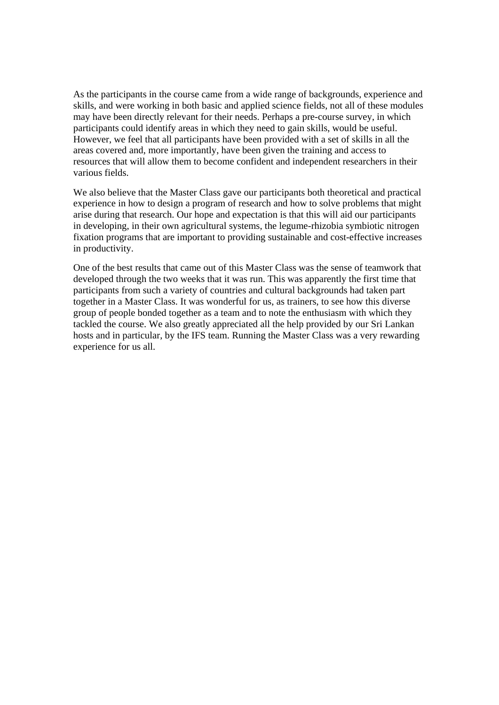As the participants in the course came from a wide range of backgrounds, experience and skills, and were working in both basic and applied science fields, not all of these modules may have been directly relevant for their needs. Perhaps a pre-course survey, in which participants could identify areas in which they need to gain skills, would be useful. However, we feel that all participants have been provided with a set of skills in all the areas covered and, more importantly, have been given the training and access to resources that will allow them to become confident and independent researchers in their various fields.

We also believe that the Master Class gave our participants both theoretical and practical experience in how to design a program of research and how to solve problems that might arise during that research. Our hope and expectation is that this will aid our participants in developing, in their own agricultural systems, the legume-rhizobia symbiotic nitrogen fixation programs that are important to providing sustainable and cost-effective increases in productivity.

One of the best results that came out of this Master Class was the sense of teamwork that developed through the two weeks that it was run. This was apparently the first time that participants from such a variety of countries and cultural backgrounds had taken part together in a Master Class. It was wonderful for us, as trainers, to see how this diverse group of people bonded together as a team and to note the enthusiasm with which they tackled the course. We also greatly appreciated all the help provided by our Sri Lankan hosts and in particular, by the IFS team. Running the Master Class was a very rewarding experience for us all.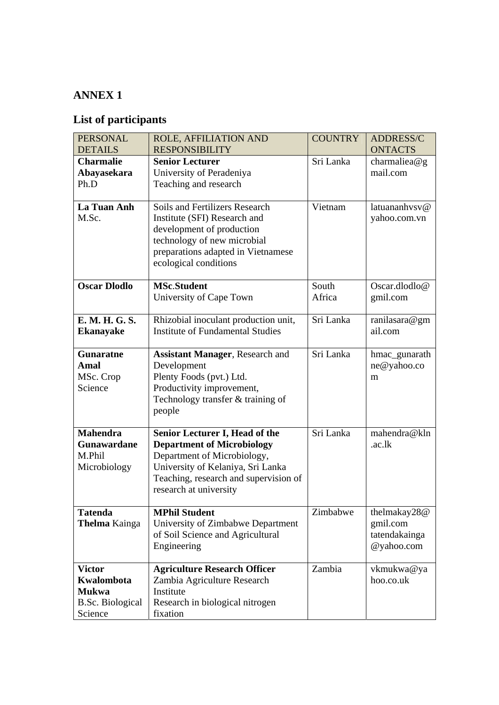# **List of participants**

| <b>PERSONAL</b><br><b>DETAILS</b>                                                 | ROLE, AFFILIATION AND<br><b>RESPONSIBILITY</b>                                                                                                                                                                    | <b>COUNTRY</b>  | <b>ADDRESS/C</b><br><b>ONTACTS</b>                      |
|-----------------------------------------------------------------------------------|-------------------------------------------------------------------------------------------------------------------------------------------------------------------------------------------------------------------|-----------------|---------------------------------------------------------|
| <b>Charmalie</b><br>Abayasekara<br>Ph.D                                           | <b>Senior Lecturer</b><br>University of Peradeniya<br>Teaching and research                                                                                                                                       | Sri Lanka       | charmaliea@g<br>mail.com                                |
| La Tuan Anh<br>M.Sc.                                                              | <b>Soils and Fertilizers Research</b><br>Institute (SFI) Research and<br>development of production<br>technology of new microbial<br>preparations adapted in Vietnamese<br>ecological conditions                  | Vietnam         | latuananhysy@<br>yahoo.com.vn                           |
| <b>Oscar Dlodlo</b>                                                               | <b>MSc.Student</b><br>University of Cape Town                                                                                                                                                                     | South<br>Africa | Oscar.dlodlo@<br>gmil.com                               |
| E. M. H. G. S.<br><b>Ekanayake</b>                                                | Rhizobial inoculant production unit,<br><b>Institute of Fundamental Studies</b>                                                                                                                                   | Sri Lanka       | ranilasara@gm<br>ail.com                                |
| Gunaratne<br><b>Amal</b><br>MSc. Crop<br>Science                                  | <b>Assistant Manager</b> , Research and<br>Development<br>Plenty Foods (pvt.) Ltd.<br>Productivity improvement,<br>Technology transfer & training of<br>people                                                    | Sri Lanka       | hmac_gunarath<br>ne@yahoo.co<br>m                       |
| <b>Mahendra</b><br>Gunawardane<br>M.Phil<br>Microbiology                          | <b>Senior Lecturer I, Head of the</b><br><b>Department of Microbiology</b><br>Department of Microbiology,<br>University of Kelaniya, Sri Lanka<br>Teaching, research and supervision of<br>research at university | Sri Lanka       | mahendra@kln<br>.ac.lk                                  |
| <b>Tatenda</b><br><b>Thelma</b> Kainga                                            | <b>MPhil Student</b><br>University of Zimbabwe Department<br>of Soil Science and Agricultural<br>Engineering                                                                                                      | Zimbabwe        | thelmakay28@<br>gmil.com<br>tatendakainga<br>@yahoo.com |
| <b>Victor</b><br>Kwalombota<br><b>Mukwa</b><br><b>B.Sc. Biological</b><br>Science | <b>Agriculture Research Officer</b><br>Zambia Agriculture Research<br>Institute<br>Research in biological nitrogen<br>fixation                                                                                    | Zambia          | vkmukwa@ya<br>hoo.co.uk                                 |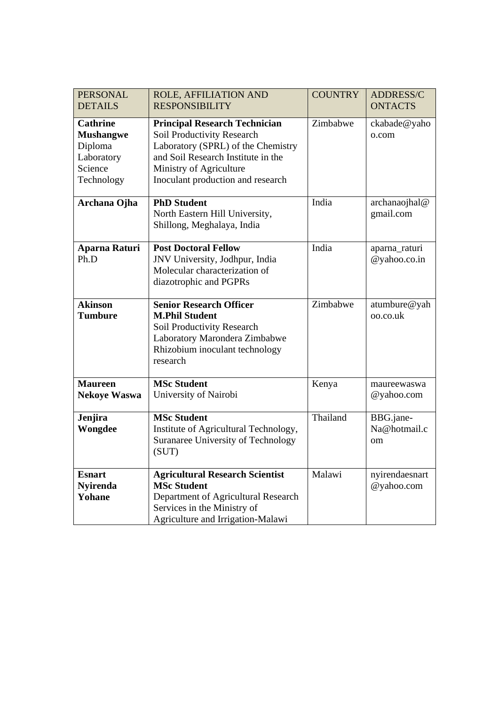| <b>PERSONAL</b><br><b>DETAILS</b>                                                     | ROLE, AFFILIATION AND<br><b>RESPONSIBILITY</b>                                                                                                                                                                        | <b>COUNTRY</b> | ADDRESS/C<br><b>ONTACTS</b>                |
|---------------------------------------------------------------------------------------|-----------------------------------------------------------------------------------------------------------------------------------------------------------------------------------------------------------------------|----------------|--------------------------------------------|
| <b>Cathrine</b><br><b>Mushangwe</b><br>Diploma<br>Laboratory<br>Science<br>Technology | <b>Principal Research Technician</b><br><b>Soil Productivity Research</b><br>Laboratory (SPRL) of the Chemistry<br>and Soil Research Institute in the<br>Ministry of Agriculture<br>Inoculant production and research | Zimbabwe       | ckabade@yaho<br>o.com                      |
| Archana Ojha                                                                          | <b>PhD Student</b><br>North Eastern Hill University,<br>Shillong, Meghalaya, India                                                                                                                                    | India          | archanaojhal@<br>gmail.com                 |
| <b>Aparna Raturi</b><br>Ph.D                                                          | <b>Post Doctoral Fellow</b><br>JNV University, Jodhpur, India<br>Molecular characterization of<br>diazotrophic and PGPRs                                                                                              | India          | aparna_raturi<br>@yahoo.co.in              |
| <b>Akinson</b><br><b>Tumbure</b>                                                      | <b>Senior Research Officer</b><br><b>M.Phil Student</b><br>Soil Productivity Research<br>Laboratory Marondera Zimbabwe<br>Rhizobium inoculant technology<br>research                                                  | Zimbabwe       | atumbure@yah<br>oo.co.uk                   |
| <b>Maureen</b><br><b>Nekoye Waswa</b>                                                 | <b>MSc Student</b><br>University of Nairobi                                                                                                                                                                           | Kenya          | maureewaswa<br>@yahoo.com                  |
| Jenjira<br>Wongdee                                                                    | <b>MSc Student</b><br>Institute of Agricultural Technology,<br>Suranaree University of Technology<br>(SUT)                                                                                                            | Thailand       | BBG.jane-<br>Na@hotmail.c<br><sub>om</sub> |
| <b>Esnart</b><br><b>Nyirenda</b><br>Yohane                                            | <b>Agricultural Research Scientist</b><br><b>MSc Student</b><br>Department of Agricultural Research<br>Services in the Ministry of<br>Agriculture and Irrigation-Malawi                                               | Malawi         | nyirendaesnart<br>@yahoo.com               |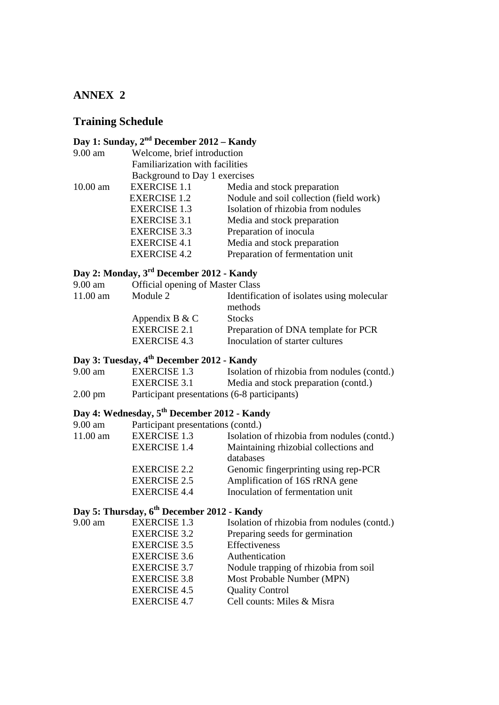### **Training Schedule**

# **Day 1: Sunday, 2nd December 2012 – Kandy**

| $9.00$ am  | Welcome, brief introduction     |                                         |  |
|------------|---------------------------------|-----------------------------------------|--|
|            | Familiarization with facilities |                                         |  |
|            | Background to Day 1 exercises   |                                         |  |
| $10.00$ am | <b>EXERCISE 1.1</b>             | Media and stock preparation             |  |
|            | <b>EXERCISE 1.2</b>             | Nodule and soil collection (field work) |  |
|            | <b>EXERCISE 1.3</b>             | Isolation of rhizobia from nodules      |  |
|            | <b>EXERCISE 3.1</b>             | Media and stock preparation             |  |
|            | <b>EXERCISE 3.3</b>             | Preparation of inocula                  |  |
|            | <b>EXERCISE 4.1</b>             | Media and stock preparation             |  |
|            | <b>EXERCISE 4.2</b>             | Preparation of fermentation unit        |  |
|            |                                 |                                         |  |

### **Day 2: Monday, 3rd December 2012 - Kandy**

| 9.00 am    | <b>Official opening of Master Class</b> |                                                       |  |
|------------|-----------------------------------------|-------------------------------------------------------|--|
| $11.00$ am | Module 2                                | Identification of isolates using molecular<br>methods |  |
|            | Appendix B & C                          | <b>Stocks</b>                                         |  |
|            | <b>EXERCISE 2.1</b>                     | Preparation of DNA template for PCR                   |  |
|            | EXERCISE 4.3                            | Inoculation of starter cultures                       |  |
|            |                                         |                                                       |  |

### **Day 3: Tuesday, 4th December 2012 - Kandy**

| $9.00$ am         | EXERCISE 1.3                                 | Isolation of rhizobia from nodules (contd.) |
|-------------------|----------------------------------------------|---------------------------------------------|
|                   | EXERCISE 3.1                                 | Media and stock preparation (contd.)        |
| $2.00 \text{ pm}$ | Participant presentations (6-8 participants) |                                             |

# **Day 4: Wednesday, 5th December 2012 - Kandy**

| 9.00 am  | Participant presentations (contd.) |                                             |
|----------|------------------------------------|---------------------------------------------|
| 11.00 am | <b>EXERCISE 1.3</b>                | Isolation of rhizobia from nodules (contd.) |
|          | <b>EXERCISE 1.4</b>                | Maintaining rhizobial collections and       |
|          |                                    | databases                                   |
|          | <b>EXERCISE 2.2</b>                | Genomic fingerprinting using rep-PCR        |
|          | <b>EXERCISE 2.5</b>                | Amplification of 16S rRNA gene              |
|          | <b>EXERCISE 4.4</b>                | Inoculation of fermentation unit            |

### **Day 5: Thursday, 6th December 2012 - Kandy**

| 9.00 am | <b>EXERCISE 1.3</b> | Isolation of rhizobia from nodules (contd.) |
|---------|---------------------|---------------------------------------------|
|         | <b>EXERCISE 3.2</b> | Preparing seeds for germination             |
|         | <b>EXERCISE 3.5</b> | Effectiveness                               |
|         | <b>EXERCISE 3.6</b> | Authentication                              |
|         | <b>EXERCISE 3.7</b> | Nodule trapping of rhizobia from soil       |
|         | <b>EXERCISE 3.8</b> | Most Probable Number (MPN)                  |
|         | <b>EXERCISE 4.5</b> | <b>Quality Control</b>                      |
|         | <b>EXERCISE 4.7</b> | Cell counts: Miles & Misra                  |
|         |                     |                                             |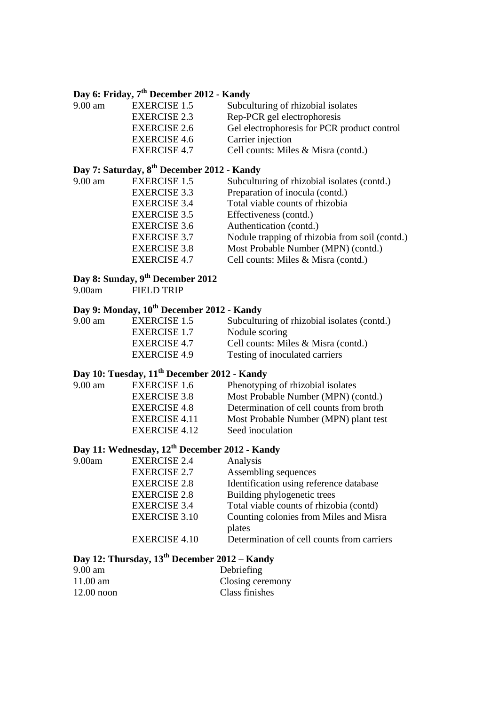### **Day 6: Friday, 7th December 2012 - Kandy**

| $9.00$ am | <b>EXERCISE 1.5</b> | Subculturing of rhizobial isolates          |
|-----------|---------------------|---------------------------------------------|
|           | <b>EXERCISE 2.3</b> | Rep-PCR gel electrophoresis                 |
|           | <b>EXERCISE 2.6</b> | Gel electrophoresis for PCR product control |
|           | <b>EXERCISE 4.6</b> | Carrier injection                           |
|           | EXERCISE 4.7        | Cell counts: Miles & Misra (contd.)         |
|           |                     |                                             |

# **Day 7: Saturday, 8th December 2012 - Kandy**

| 9.00 am | <b>EXERCISE 1.5</b> | Subculturing of rhizobial isolates (contd.)    |
|---------|---------------------|------------------------------------------------|
|         | <b>EXERCISE 3.3</b> | Preparation of inocula (contd.)                |
|         | <b>EXERCISE 3.4</b> | Total viable counts of rhizobia                |
|         | <b>EXERCISE 3.5</b> | Effectiveness (contd.)                         |
|         | <b>EXERCISE 3.6</b> | Authentication (contd.)                        |
|         | <b>EXERCISE 3.7</b> | Nodule trapping of rhizobia from soil (contd.) |
|         | <b>EXERCISE 3.8</b> | Most Probable Number (MPN) (contd.)            |
|         | <b>EXERCISE 4.7</b> | Cell counts: Miles & Misra (contd.)            |
|         |                     |                                                |

# **Day 8: Sunday, 9th December 2012**

FIELD TRIP

### **Day 9: Monday, 10th December 2012 - Kandy**

| 9.00 am | EXERCISE 1.5        | Subculturing of rhizobial isolates (contd.) |
|---------|---------------------|---------------------------------------------|
|         | EXERCISE 1.7        | Nodule scoring                              |
|         | <b>EXERCISE 4.7</b> | Cell counts: Miles & Misra (contd.)         |
|         | <b>EXERCISE 4.9</b> | Testing of inoculated carriers              |

### **Day 10: Tuesday, 11th December 2012 - Kandy**

| $9.00$ am | <b>EXERCISE 1.6</b> | Phenotyping of rhizobial isolates       |
|-----------|---------------------|-----------------------------------------|
|           | EXERCISE 3.8        | Most Probable Number (MPN) (contd.)     |
|           | <b>EXERCISE 4.8</b> | Determination of cell counts from broth |
|           | EXERCISE 4.11       | Most Probable Number (MPN) plant test   |
|           | EXERCISE 4.12       | Seed inoculation                        |
|           |                     |                                         |

### **Day 11: Wednesday, 12th December 2012 - Kandy**

| 9.00am | <b>EXERCISE 2.4</b>  | Analysis                                   |
|--------|----------------------|--------------------------------------------|
|        | <b>EXERCISE 2.7</b>  | Assembling sequences                       |
|        | <b>EXERCISE 2.8</b>  | Identification using reference database    |
|        | <b>EXERCISE 2.8</b>  | Building phylogenetic trees                |
|        | <b>EXERCISE 3.4</b>  | Total viable counts of rhizobia (contd)    |
|        | <b>EXERCISE 3.10</b> | Counting colonies from Miles and Misra     |
|        |                      | plates                                     |
|        | <b>EXERCISE 4.10</b> | Determination of cell counts from carriers |

# **Day 12: Thursday, 13th December 2012 – Kandy**

| $9.00 \text{ am}$  | Debriefing       |
|--------------------|------------------|
| $11.00 \text{ am}$ | Closing ceremony |
| $12.00$ noon       | Class finishes   |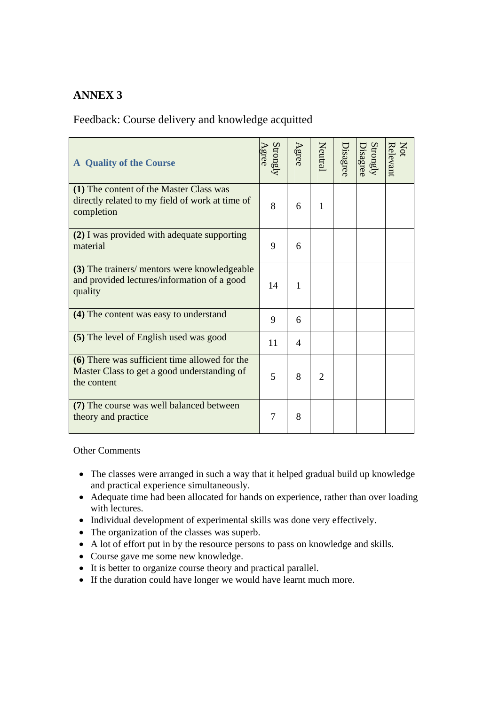### Feedback: Course delivery and knowledge acquitted

| <b>A</b> Quality of the Course                                                                              | Strongly | Agree          | Neutral                     | Disagree | Strongly<br>Jisagree | Relevant<br>Not |
|-------------------------------------------------------------------------------------------------------------|----------|----------------|-----------------------------|----------|----------------------|-----------------|
| (1) The content of the Master Class was<br>directly related to my field of work at time of<br>completion    | 8        | 6              | 1                           |          |                      |                 |
| (2) I was provided with adequate supporting<br>material                                                     | 9        | 6              |                             |          |                      |                 |
| (3) The trainers/ mentors were knowledgeable<br>and provided lectures/information of a good<br>quality      | 14       | 1              |                             |          |                      |                 |
| (4) The content was easy to understand                                                                      | 9        | 6              |                             |          |                      |                 |
| (5) The level of English used was good                                                                      | 11       | $\overline{4}$ |                             |          |                      |                 |
| (6) There was sufficient time allowed for the<br>Master Class to get a good understanding of<br>the content | 5        | 8              | $\mathcal{D}_{\mathcal{L}}$ |          |                      |                 |
| (7) The course was well balanced between<br>theory and practice                                             | 7        | 8              |                             |          |                      |                 |

#### Other Comments

- The classes were arranged in such a way that it helped gradual build up knowledge and practical experience simultaneously.
- Adequate time had been allocated for hands on experience, rather than over loading with lectures.
- Individual development of experimental skills was done very effectively.
- The organization of the classes was superb.
- A lot of effort put in by the resource persons to pass on knowledge and skills.
- Course gave me some new knowledge.
- It is better to organize course theory and practical parallel.
- If the duration could have longer we would have learnt much more.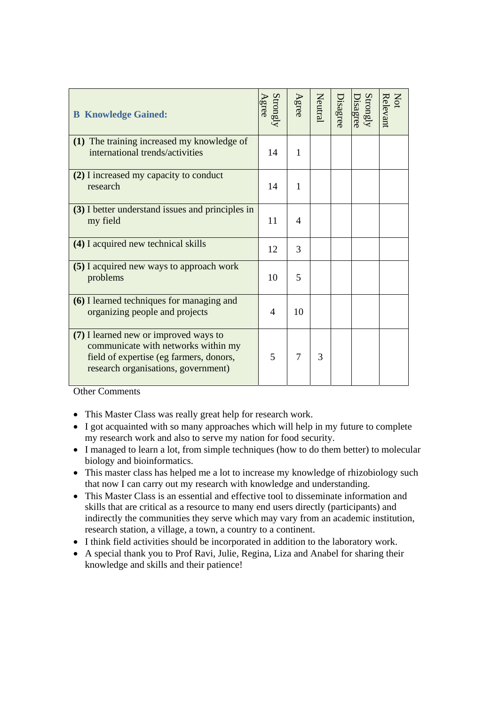| <b>B</b> Knowledge Gained:                                                                                                                                     | Strongly<br>Agree | Agree        | Neutral | Disagree | Strongly<br>Disagree | Not<br>Relevant |
|----------------------------------------------------------------------------------------------------------------------------------------------------------------|-------------------|--------------|---------|----------|----------------------|-----------------|
| (1) The training increased my knowledge of<br>international trends/activities                                                                                  | 14                | $\mathbf{1}$ |         |          |                      |                 |
| (2) I increased my capacity to conduct<br>research                                                                                                             | 14                | 1            |         |          |                      |                 |
| (3) I better understand issues and principles in<br>my field                                                                                                   | 11                | 4            |         |          |                      |                 |
| (4) I acquired new technical skills                                                                                                                            | 12                | 3            |         |          |                      |                 |
| (5) I acquired new ways to approach work<br>problems                                                                                                           | 10                | 5            |         |          |                      |                 |
| (6) I learned techniques for managing and<br>organizing people and projects                                                                                    | $\overline{4}$    | 10           |         |          |                      |                 |
| (7) I learned new or improved ways to<br>communicate with networks within my<br>field of expertise (eg farmers, donors,<br>research organisations, government) | 5                 | 7            | 3       |          |                      |                 |

Other Comments

- This Master Class was really great help for research work.
- I got acquainted with so many approaches which will help in my future to complete my research work and also to serve my nation for food security.
- I managed to learn a lot, from simple techniques (how to do them better) to molecular biology and bioinformatics.
- This master class has helped me a lot to increase my knowledge of rhizobiology such that now I can carry out my research with knowledge and understanding.
- This Master Class is an essential and effective tool to disseminate information and skills that are critical as a resource to many end users directly (participants) and indirectly the communities they serve which may vary from an academic institution, research station, a village, a town, a country to a continent.
- I think field activities should be incorporated in addition to the laboratory work.
- A special thank you to Prof Ravi, Julie, Regina, Liza and Anabel for sharing their knowledge and skills and their patience!